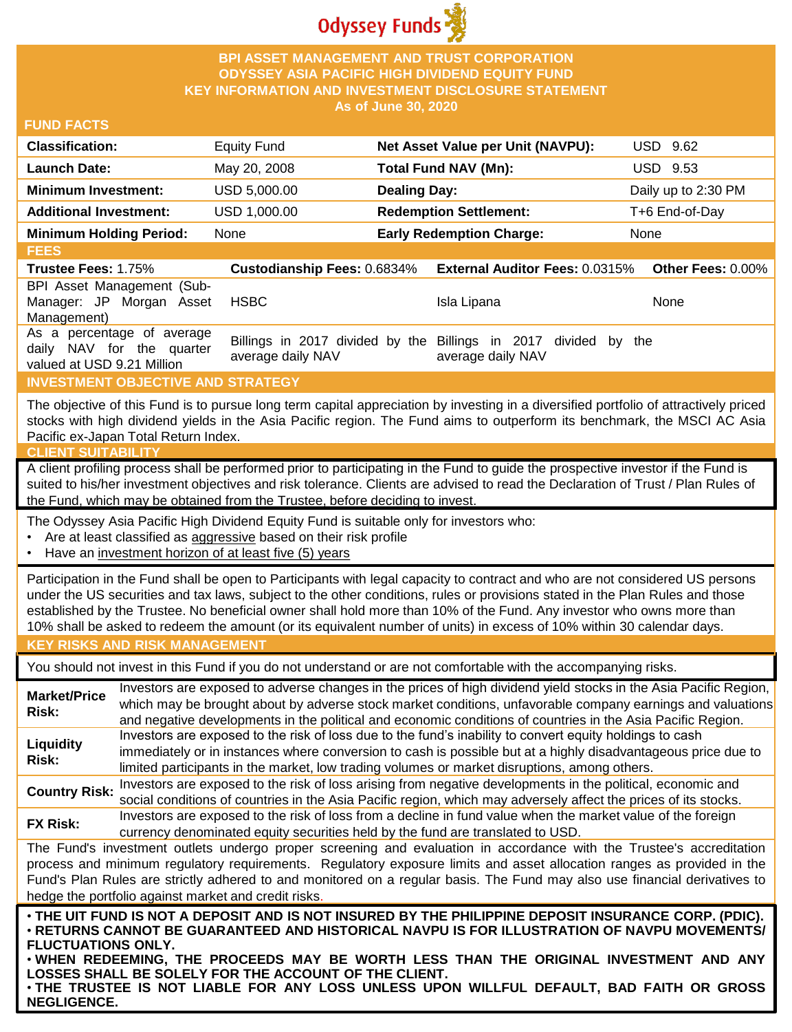

### **BPI ASSET MANAGEMENT AND TRUST CORPORATION ODYSSEY ASIA PACIFIC HIGH DIVIDEND EQUITY FUND KEY INFORMATION AND INVESTMENT DISCLOSURE STATEMENT As of June 30, 2020**

### **FUND FACTS**

| <b>Classification:</b>         | <b>Equity Fund</b> | Net Asset Value per Unit (NAVPU): | USD 9.62            |
|--------------------------------|--------------------|-----------------------------------|---------------------|
| <b>Launch Date:</b>            | May 20, 2008       | Total Fund NAV (Mn):              | USD 9.53            |
| <b>Minimum Investment:</b>     | USD 5,000.00       | <b>Dealing Day:</b>               | Daily up to 2:30 PM |
| <b>Additional Investment:</b>  | USD 1,000.00       | <b>Redemption Settlement:</b>     | T+6 End-of-Day      |
| <b>Minimum Holding Period:</b> | None               | <b>Early Redemption Charge:</b>   | None                |

**FEES Trustee Fees:** 1.75% **Custodianship Fees:** 0.6834% **External Auditor Fees:** 0.0315% **Other Fees:** 0.00% BPI Asset Management (Sub-Manager: JP Morgan Asset Management) HSBC Isla Lipana None As a percentage of average daily NAV for the quarter valued at USD 9.21 Million Billings in 2017 divided by the Billings in 2017 divided by the average daily NAV average daily NAV

## **INVESTMENT OBJECTIVE AND STRATEGY**

The objective of this Fund is to pursue long term capital appreciation by investing in a diversified portfolio of attractively priced stocks with high dividend yields in the Asia Pacific region. The Fund aims to outperform its benchmark, the MSCI AC Asia Pacific ex-Japan Total Return Index.

#### **CLIENT SUITABILITY**

A client profiling process shall be performed prior to participating in the Fund to guide the prospective investor if the Fund is suited to his/her investment objectives and risk tolerance. Clients are advised to read the Declaration of Trust / Plan Rules of the Fund, which may be obtained from the Trustee, before deciding to invest.

The Odyssey Asia Pacific High Dividend Equity Fund is suitable only for investors who:

- Are at least classified as aggressive based on their risk profile
- Have an investment horizon of at least five (5) years

Participation in the Fund shall be open to Participants with legal capacity to contract and who are not considered US persons under the US securities and tax laws, subject to the other conditions, rules or provisions stated in the Plan Rules and those established by the Trustee. No beneficial owner shall hold more than 10% of the Fund. Any investor who owns more than 10% shall be asked to redeem the amount (or its equivalent number of units) in excess of 10% within 30 calendar days.

## **KEY RISKS AND RISK MANAGEMENT**

You should not invest in this Fund if you do not understand or are not comfortable with the accompanying risks.

**Market/Price Risk:** Investors are exposed to adverse changes in the prices of high dividend yield stocks in the Asia Pacific Region, which may be brought about by adverse stock market conditions, unfavorable company earnings and valuations and negative developments in the political and economic conditions of countries in the Asia Pacific Region. **Liquidity Risk:** Investors are exposed to the risk of loss due to the fund's inability to convert equity holdings to cash immediately or in instances where conversion to cash is possible but at a highly disadvantageous price due to limited participants in the market, low trading volumes or market disruptions, among others. **Country Risk:** Investors are exposed to the risk of loss arising from negative developments in the political, economic and<br>Country Risk: experiment is and countries in the Asia Resification which were at your above at the

social conditions of countries in the Asia Pacific region, which may adversely affect the prices of its stocks. **FX Risk:** Investors are exposed to the risk of loss from a decline in fund value when the market value of the foreign

currency denominated equity securities held by the fund are translated to USD.

The Fund's investment outlets undergo proper screening and evaluation in accordance with the Trustee's accreditation process and minimum regulatory requirements. Regulatory exposure limits and asset allocation ranges as provided in the Fund's Plan Rules are strictly adhered to and monitored on a regular basis. The Fund may also use financial derivatives to hedge the portfolio against market and credit risks.

. THE UIT FUND IS NOT A DEPOSIT AND IS NOT INSURED BY THE PHILIPPINE DEPOSIT INSURANCE CORP. (PDIC). • **RETURNS CANNOT BE GUARANTEED AND HISTORICAL NAVPU IS FOR ILLUSTRATION OF NAVPU MOVEMENTS/ FLUCTUATIONS ONLY.**

• **WHEN REDEEMING, THE PROCEEDS MAY BE WORTH LESS THAN THE ORIGINAL INVESTMENT AND ANY LOSSES SHALL BE SOLELY FOR THE ACCOUNT OF THE CLIENT.**

• **THE TRUSTEE IS NOT LIABLE FOR ANY LOSS UNLESS UPON WILLFUL DEFAULT, BAD FAITH OR GROSS NEGLIGENCE.**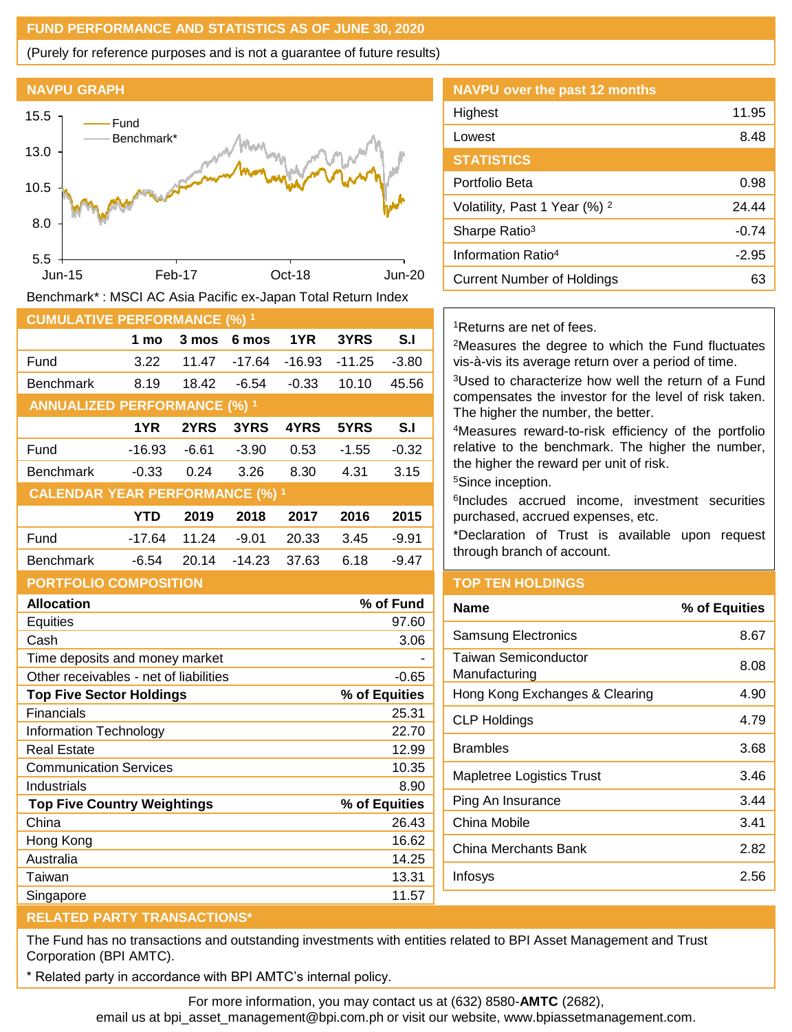# **FUND PERFORMANCE AND STATISTICS AS OF JUNE 30, 2020**

(Purely for reference purposes and is not a guarantee of future results)





Benchmark\* : MSCI AC Asia Pacific ex-Japan Total Return Index

| <b>CUMULATIVE PERFORMANCE (%) 1</b>    |          |       |          |         |         |         |
|----------------------------------------|----------|-------|----------|---------|---------|---------|
|                                        | 1 mo     | 3 mos | 6 mos    | 1YR     | 3YRS    | S.I     |
| Fund                                   | 3.22     | 11.47 | -17.64   | -16.93  | -11.25  | $-3.80$ |
| <b>Benchmark</b>                       | 8.19     | 18.42 | -6.54    | $-0.33$ | 10.10   | 45.56   |
| <b>ANNUALIZED PERFORMANCE (%) 1</b>    |          |       |          |         |         |         |
|                                        | 1YR      | 2YRS  | 3YRS     | 4YRS    | 5YRS    | S.I     |
| Fund                                   | -16.93   | -6.61 | $-3.90$  | 0.53    | $-1.55$ | $-0.32$ |
| <b>Benchmark</b>                       | $-0.33$  | 0.24  | 3.26     | 8.30    | 4.31    | 3.15    |
| <b>CALENDAR YEAR PERFORMANCE (%) 1</b> |          |       |          |         |         |         |
|                                        | YTD      | 2019  | 2018     | 2017    | 2016    | 2015    |
| Fund                                   | $-17.64$ | 11.24 | $-9.01$  | 20.33   | 3.45    | $-9.91$ |
| <b>Benchmark</b>                       | -6.54    | 20.14 | $-14.23$ | 37.63   | 6.18    | -9.47   |
| <b>PORTFOLIO COMPOSITION</b>           |          |       |          |         |         |         |

| <b>Allocation</b>                      | % of Fund     |
|----------------------------------------|---------------|
| <b>Equities</b>                        | 97.60         |
| Cash                                   | 3.06          |
| Time deposits and money market         |               |
| Other receivables - net of liabilities | $-0.65$       |
| <b>Top Five Sector Holdings</b>        | % of Equities |
| Financials                             | 25.31         |
| Information Technology                 | 22.70         |
| Real Estate                            | 12.99         |
| <b>Communication Services</b>          | 10.35         |
| Industrials                            | 8.90          |
| <b>Top Five Country Weightings</b>     | % of Equities |
| China                                  | 26.43         |
| Hong Kong                              | 16.62         |
| Australia                              | 14.25         |
| Taiwan                                 | 13.31         |
| Singapore                              | 11.57         |

# Portfolio Beta 0.98 Volatility, Past 1 Year  $(\%)$  <sup>2</sup> 24.44 Sharpe Ratio<sup>3</sup> and Sharpe Ratio<sup>3</sup> and Sharpe Ratio<sup>3</sup> and Sharpe Ratio<sup>3</sup> Information Ratio<sup>4</sup> and C<sub>2.95</sub> Current Number of Holdings **63**

**NAVPU over the past 12 months**

<sup>1</sup>Returns are net of fees.

**STATISTICS**

<sup>2</sup>Measures the degree to which the Fund fluctuates vis-à-vis its average return over a period of time.

Highest 11.95 Lowest 8.48

<sup>3</sup>Used to characterize how well the return of a Fund compensates the investor for the level of risk taken. The higher the number, the better.

<sup>4</sup>Measures reward-to-risk efficiency of the portfolio relative to the benchmark. The higher the number, the higher the reward per unit of risk.

<sup>5</sup>Since inception.

6 Includes accrued income, investment securities purchased, accrued expenses, etc.

\*Declaration of Trust is available upon request through branch of account.

# **TOP TEN HOLDINGS**

| Name                                  | % of Equities |
|---------------------------------------|---------------|
| <b>Samsung Electronics</b>            | 8.67          |
| Taiwan Semiconductor<br>Manufacturing | 8.08          |
| Hong Kong Exchanges & Clearing        | 4.90          |
| <b>CLP Holdings</b>                   | 4.79          |
| Brambles                              | 3.68          |
| <b>Mapletree Logistics Trust</b>      | 3.46          |
| Ping An Insurance                     | 3.44          |
| China Mobile                          | 3.41          |
| China Merchants Bank                  | 2.82          |
| Infosys                               | 2.56          |
|                                       |               |

### **RELATED PARTY TRANSACTIONS\***

The Fund has no transactions and outstanding investments with entities related to BPI Asset Management and Trust Corporation (BPI AMTC).

Related party in accordance with BPI AMTC's internal policy.

For more information, you may contact us at (632) 8580-**AMTC** (2682), email us at bpi\_asset\_management@bpi.com.ph or visit our website, www.bpiassetmanagement.com.